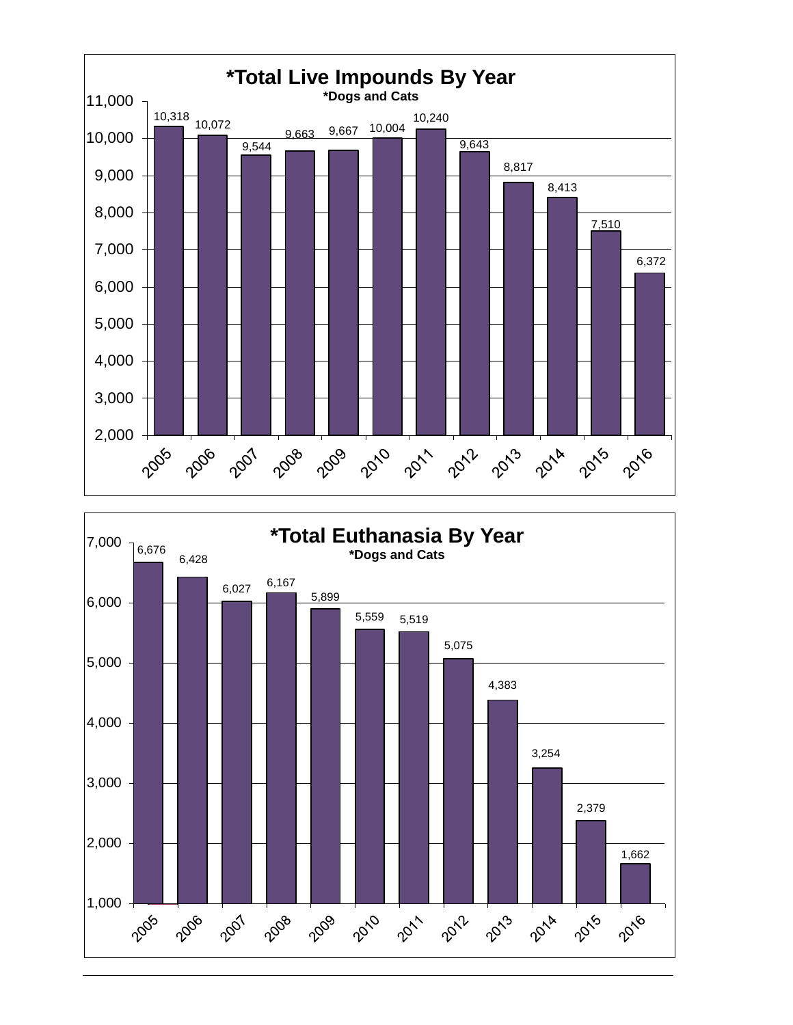



2016

1,000

2005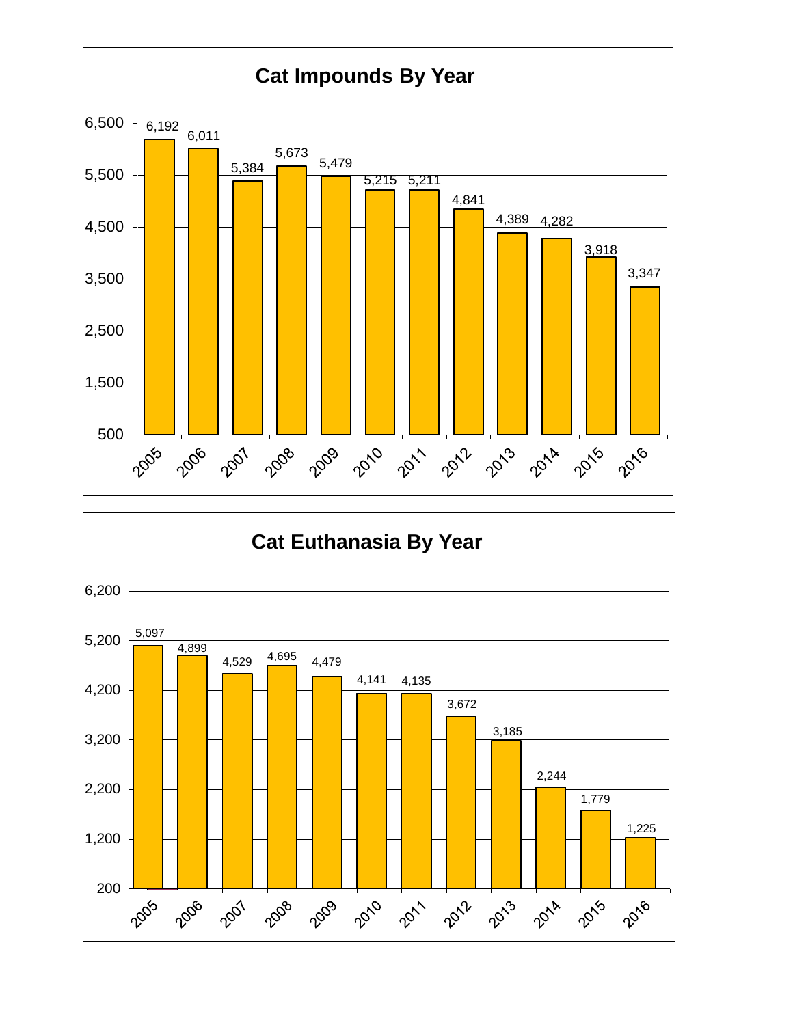

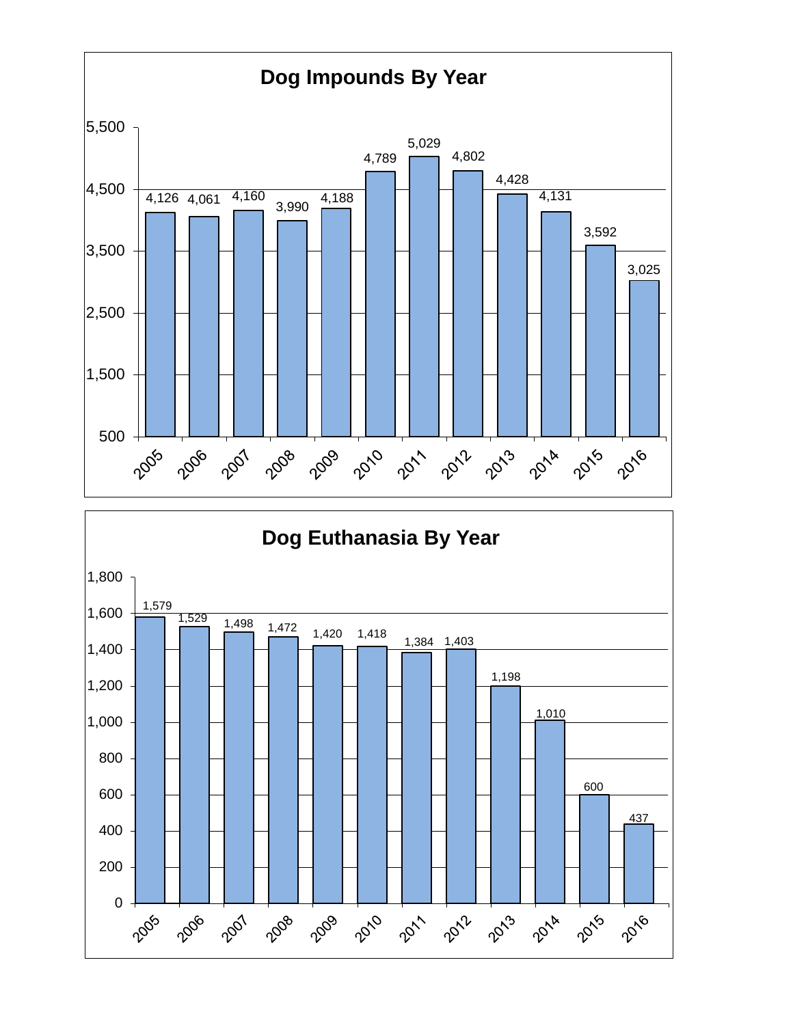